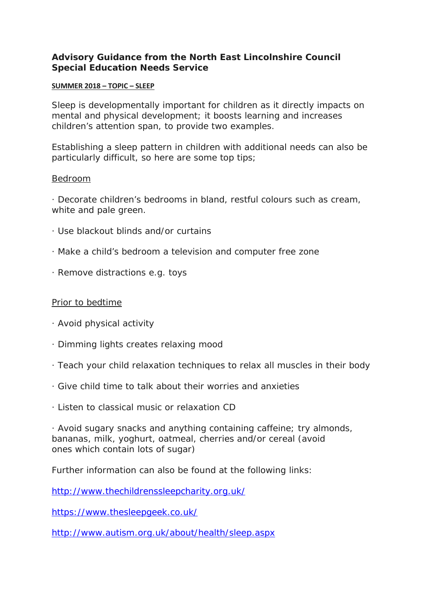#### **Advisory Guidance from the North East Lincolnshire Council Special Education Needs Service**

#### **SUMMER 2018 – TOPIC – SLEEP**

Sleep is developmentally important for children as it directly impacts on mental and physical development; it boosts learning and increases children's attention span, to provide two examples.

Establishing a sleep pattern in children with additional needs can also be particularly difficult, so here are some top tips;

#### Bedroom

· Decorate children's bedrooms in bland, restful colours such as cream, white and pale green.

- · Use blackout blinds and/or curtains
- · Make a child's bedroom a television and computer free zone
- · Remove distractions e.g. toys

#### Prior to bedtime

- · Avoid physical activity
- · Dimming lights creates relaxing mood
- · Teach your child relaxation techniques to relax all muscles in their body
- · Give child time to talk about their worries and anxieties
- · Listen to classical music or relaxation CD

· Avoid sugary snacks and anything containing caffeine; try almonds, bananas, milk, yoghurt, oatmeal, cherries and/or cereal (avoid ones which contain lots of sugar)

Further information can also be found at the following links:

<http://www.thechildrenssleepcharity.org.uk/>

<https://www.thesleepgeek.co.uk/>

<http://www.autism.org.uk/about/health/sleep.aspx>